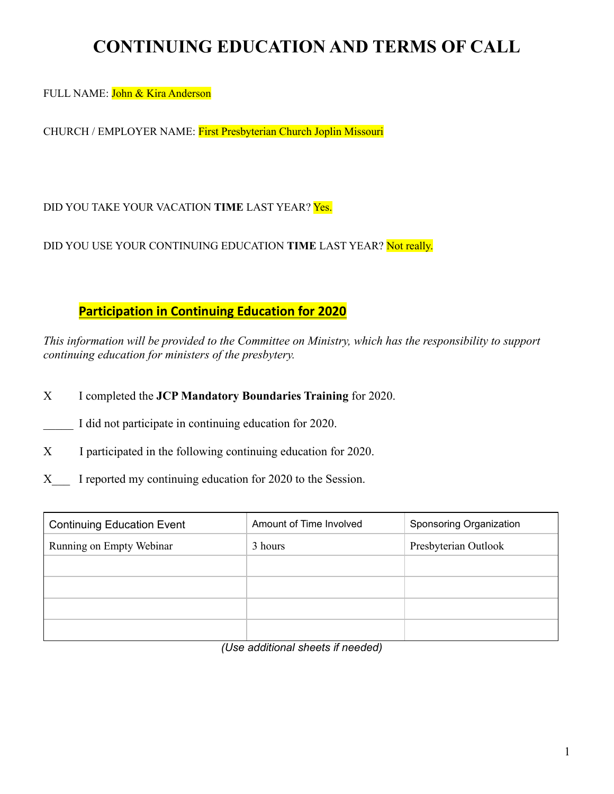# **CONTINUING EDUCATION AND TERMS OF CALL**

FULL NAME: John & Kira Anderson

CHURCH / EMPLOYER NAME: First Presbyterian Church Joplin Missouri

DID YOU TAKE YOUR VACATION **TIME** LAST YEAR? Yes.

DID YOU USE YOUR CONTINUING EDUCATION **TIME** LAST YEAR? Not really.

### **Participation in Continuing Education for 2020**

*This information will be provided to the Committee on Ministry, which has the responsibility to support continuing education for ministers of the presbytery.* 

X I completed the **JCP Mandatory Boundaries Training** for 2020.

I did not participate in continuing education for 2020.

X I participated in the following continuing education for 2020.

X I reported my continuing education for 2020 to the Session.

| <b>Continuing Education Event</b> | Amount of Time Involved | Sponsoring Organization |
|-----------------------------------|-------------------------|-------------------------|
| Running on Empty Webinar          | 3 hours                 | Presbyterian Outlook    |
|                                   |                         |                         |
|                                   |                         |                         |
|                                   |                         |                         |
|                                   |                         |                         |

*(Use additional sheets if needed)*